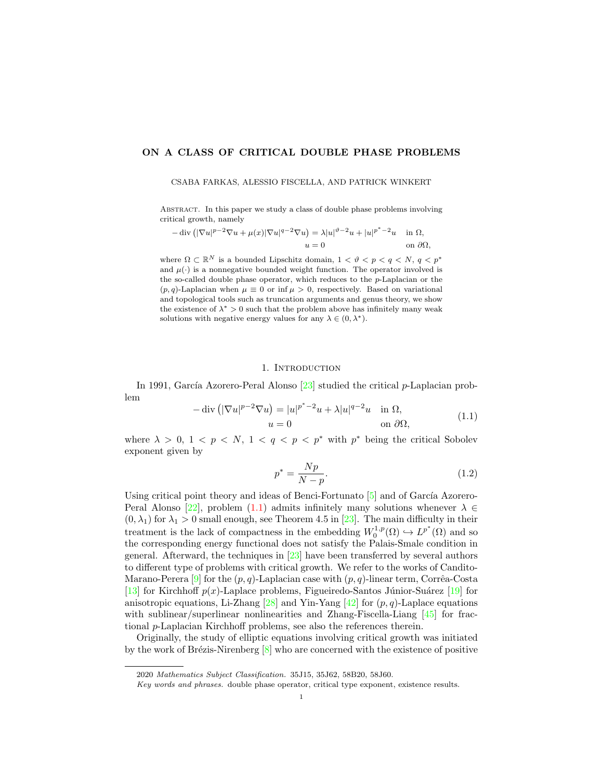# ON A CLASS OF CRITICAL DOUBLE PHASE PROBLEMS

#### CSABA FARKAS, ALESSIO FISCELLA, AND PATRICK WINKERT

Abstract. In this paper we study a class of double phase problems involving critical growth, namely

$$
-\operatorname{div}\left(|\nabla u|^{p-2}\nabla u + \mu(x)|\nabla u|^{q-2}\nabla u\right) = \lambda |u|^{p-2}u + |u|^{p^*-2}u \quad \text{in } \Omega,
$$
  

$$
u = 0 \quad \text{on } \partial\Omega,
$$

where  $\Omega \subset \mathbb{R}^N$  is a bounded Lipschitz domain,  $1 < \vartheta < p < q < N$ ,  $q < p^*$ and  $\mu(\cdot)$  is a nonnegative bounded weight function. The operator involved is the so-called double phase operator, which reduces to the p-Laplacian or the  $(p, q)$ -Laplacian when  $\mu \equiv 0$  or inf  $\mu > 0$ , respectively. Based on variational and topological tools such as truncation arguments and genus theory, we show the existence of  $\lambda^* > 0$  such that the problem above has infinitely many weak solutions with negative energy values for any  $\lambda \in (0, \lambda^*)$ .

## 1. INTRODUCTION

In 1991, García Azorero-Peral Alonso  $[23]$  studied the critical p-Laplacian problem

<span id="page-0-0"></span>
$$
-\operatorname{div}\left(|\nabla u|^{p-2}\nabla u\right) = |u|^{p^*-2}u + \lambda|u|^{q-2}u \quad \text{in } \Omega,
$$
  
\n
$$
u = 0 \qquad \text{on } \partial\Omega,
$$
\n(1.1)

where  $\lambda > 0, 1 < p < N, 1 < q < p < p^*$  with  $p^*$  being the critical Sobolev exponent given by

<span id="page-0-1"></span>
$$
p^* = \frac{Np}{N-p}.\tag{1.2}
$$

Using critical point theory and ideas of Benci-Fortunato  $\boxed{5}$  and of García Azorero-Peral Alonso [\[22\]](#page-14-1), problem [\(1.1\)](#page-0-0) admits infinitely many solutions whenever  $\lambda \in$  $(0, \lambda_1)$  for  $\lambda_1 > 0$  small enough, see Theorem 4.5 in [\[23\]](#page-14-0). The main difficulty in their treatment is the lack of compactness in the embedding  $W_0^{1,p}(\Omega) \hookrightarrow L^{p^*}(\Omega)$  and so the corresponding energy functional does not satisfy the Palais-Smale condition in general. Afterward, the techniques in [\[23\]](#page-14-0) have been transferred by several authors to different type of problems with critical growth. We refer to the works of Candito-Marano-Perera  $[9]$  for the  $(p, q)$ -Laplacian case with  $(p, q)$ -linear term, Corrêa-Costa [\[13\]](#page-14-3) for Kirchhoff  $p(x)$ -Laplace problems, Figueiredo-Santos Júnior-Suárez [\[19\]](#page-14-4) for anisotropic equations, Li-Zhang  $[28]$  and Yin-Yang  $[42]$  for  $(p, q)$ -Laplace equations with sublinear/superlinear nonlinearities and Zhang-Fiscella-Liang [\[45\]](#page-15-1) for fractional p-Laplacian Kirchhoff problems, see also the references therein.

Originally, the study of elliptic equations involving critical growth was initiated by the work of Brézis-Nirenberg  $[8]$  who are concerned with the existence of positive

<sup>2020</sup> Mathematics Subject Classification. 35J15, 35J62, 58B20, 58J60.

Key words and phrases. double phase operator, critical type exponent, existence results.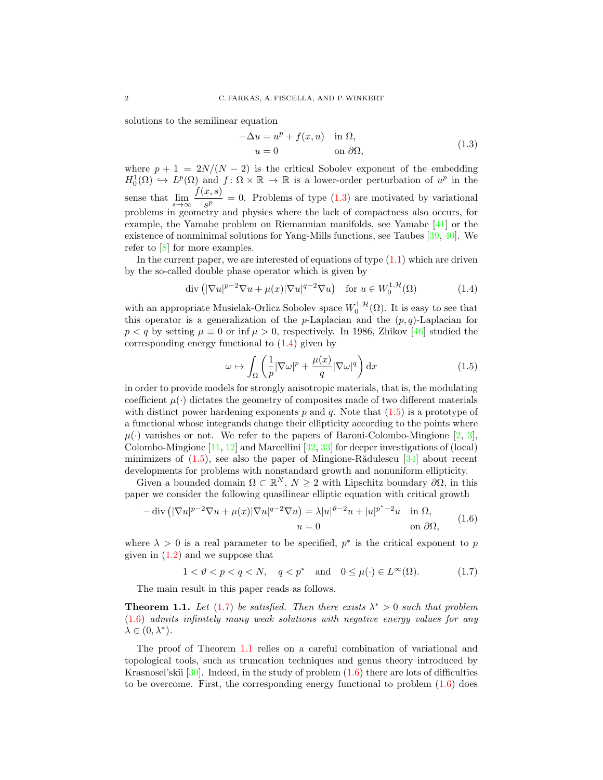solutions to the semilinear equation

<span id="page-1-0"></span>
$$
-\Delta u = u^p + f(x, u) \quad \text{in } \Omega,
$$
  
\n
$$
u = 0 \qquad \text{on } \partial\Omega,
$$
\n(1.3)

where  $p + 1 = 2N/(N - 2)$  is the critical Sobolev exponent of the embedding  $H_0^1(\Omega) \hookrightarrow L^p(\Omega)$  and  $f: \Omega \times \mathbb{R} \to \mathbb{R}$  is a lower-order perturbation of  $u^p$  in the 0 sense that  $\lim_{s \to \infty} \frac{f(x, s)}{s^p}$  $\frac{\partial}{\partial s}$  = 0. Problems of type [\(1.3\)](#page-1-0) are motivated by variational problems in geometry and physics where the lack of compactness also occurs, for example, the Yamabe problem on Riemannian manifolds, see Yamabe [\[41\]](#page-15-2) or the existence of nonminimal solutions for Yang-Mills functions, see Taubes [\[39,](#page-15-3) [40\]](#page-15-4). We refer to [\[8\]](#page-14-6) for more examples.

In the current paper, we are interested of equations of type  $(1.1)$  which are driven by the so-called double phase operator which is given by

$$
\operatorname{div}\left(|\nabla u|^{p-2}\nabla u + \mu(x)|\nabla u|^{q-2}\nabla u\right) \quad \text{for } u \in W_0^{1,\mathcal{H}}(\Omega) \tag{1.4}
$$

with an appropriate Musielak-Orlicz Sobolev space  $W_0^{1, \mathcal{H}}(\Omega)$ . It is easy to see that this operator is a generalization of the p-Laplacian and the  $(p, q)$ -Laplacian for  $p < q$  by setting  $\mu \equiv 0$  or inf  $\mu > 0$ , respectively. In 1986, Zhikov [\[46\]](#page-15-5) studied the corresponding energy functional to [\(1.4\)](#page-1-1) given by

<span id="page-1-2"></span><span id="page-1-1"></span>
$$
\omega \mapsto \int_{\Omega} \left( \frac{1}{p} |\nabla \omega|^p + \frac{\mu(x)}{q} |\nabla \omega|^q \right) dx \tag{1.5}
$$

in order to provide models for strongly anisotropic materials, that is, the modulating coefficient  $\mu(\cdot)$  dictates the geometry of composites made of two different materials with distinct power hardening exponents  $p$  and  $q$ . Note that  $(1.5)$  is a prototype of a functional whose integrands change their ellipticity according to the points where  $\mu(\cdot)$  vanishes or not. We refer to the papers of Baroni-Colombo-Mingione [\[2,](#page-13-1) [3\]](#page-13-2), Colombo-Mingione  $[11, 12]$  $[11, 12]$  $[11, 12]$  and Marcellini  $[32, 33]$  $[32, 33]$  $[32, 33]$  for deeper investigations of (local) minimizers of  $(1.5)$ , see also the paper of Mingione-R $\ddot{\text{add}}$ lescu [\[34\]](#page-15-6) about recent developments for problems with nonstandard growth and nonuniform ellipticity.

Given a bounded domain  $\Omega \subset \mathbb{R}^N$ ,  $N \geq 2$  with Lipschitz boundary  $\partial \Omega$ , in this paper we consider the following quasilinear elliptic equation with critical growth

<span id="page-1-4"></span>
$$
-\operatorname{div}\left(|\nabla u|^{p-2}\nabla u + \mu(x)|\nabla u|^{q-2}\nabla u\right) = \lambda |u|^{p-2}u + |u|^{p^*-2}u \quad \text{in } \Omega,
$$
  
\n
$$
u = 0 \qquad \text{on } \partial\Omega,
$$
\n(1.6)

where  $\lambda > 0$  is a real parameter to be specified,  $p^*$  is the critical exponent to p given in  $(1.2)$  and we suppose that

<span id="page-1-3"></span>
$$
1 < \vartheta < p < q < N, \quad q < p^* \quad \text{and} \quad 0 \le \mu(\cdot) \in L^\infty(\Omega). \tag{1.7}
$$

The main result in this paper reads as follows.

<span id="page-1-5"></span>**Theorem 1.1.** Let [\(1.7\)](#page-1-3) be satisfied. Then there exists  $\lambda^* > 0$  such that problem [\(1.6\)](#page-1-4) admits infinitely many weak solutions with negative energy values for any  $\lambda \in (0, \lambda^*)$ .

The proof of Theorem [1.1](#page-1-5) relies on a careful combination of variational and topological tools, such as truncation techniques and genus theory introduced by Krasnosel'skii  $[30]$ . Indeed, in the study of problem  $(1.6)$  there are lots of difficulties to be overcome. First, the corresponding energy functional to problem  $(1.6)$  does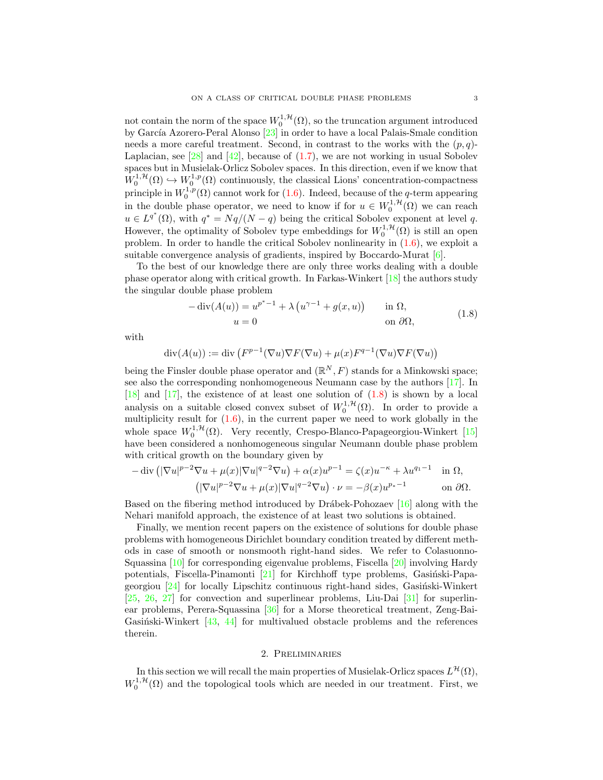not contain the norm of the space  $W_0^{1,\mathcal{H}}(\Omega)$ , so the truncation argument introduced by García Azorero-Peral Alonso [\[23\]](#page-14-0) in order to have a local Palais-Smale condition needs a more careful treatment. Second, in contrast to the works with the  $(p, q)$ -Laplacian, see [\[28\]](#page-14-5) and [\[42\]](#page-15-0), because of  $(1.7)$ , we are not working in usual Sobolev spaces but in Musielak-Orlicz Sobolev spaces. In this direction, even if we know that  $W_0^{1,\mathcal{H}}(\Omega) \hookrightarrow W_0^{1,p}(\Omega)$  continuously, the classical Lions' concentration-compactness principle in  $W_0^{1,p}(\Omega)$  cannot work for [\(1.6\)](#page-1-4). Indeed, because of the q-term appearing in the double phase operator, we need to know if for  $u \in W_0^{1, H}(\Omega)$  we can reach  $u \in L^{q^*}(\Omega)$ , with  $q^* = Nq/(N-q)$  being the critical Sobolev exponent at level q. However, the optimality of Sobolev type embeddings for  $W_0^{1,\mathcal{H}}(\Omega)$  is still an open problem. In order to handle the critical Sobolev nonlinearity in [\(1.6\)](#page-1-4), we exploit a suitable convergence analysis of gradients, inspired by Boccardo-Murat [\[6\]](#page-13-3).

To the best of our knowledge there are only three works dealing with a double phase operator along with critical growth. In Farkas-Winkert [\[18\]](#page-14-12) the authors study the singular double phase problem

<span id="page-2-0"></span>
$$
-\operatorname{div}(A(u)) = u^{p^* - 1} + \lambda (u^{\gamma - 1} + g(x, u)) \quad \text{in } \Omega,
$$
  
\n
$$
u = 0 \quad \text{on } \partial\Omega,
$$
\n(1.8)

with

$$
\operatorname{div}(A(u)) := \operatorname{div}(F^{p-1}(\nabla u)\nabla F(\nabla u) + \mu(x)F^{q-1}(\nabla u)\nabla F(\nabla u))
$$

being the Finsler double phase operator and  $(\mathbb{R}^N, F)$  stands for a Minkowski space; see also the corresponding nonhomogeneous Neumann case by the authors [\[17\]](#page-14-13). In  $[18]$  and  $[17]$ , the existence of at least one solution of  $(1.8)$  is shown by a local analysis on a suitable closed convex subset of  $W_0^{1,\mathcal{H}}(\Omega)$ . In order to provide a multiplicity result for  $(1.6)$ , in the current paper we need to work globally in the whole space  $W_0^{1,\mathcal{H}}(\Omega)$ . Very recently, Crespo-Blanco-Papageorgiou-Winkert [\[15\]](#page-14-14) have been considered a nonhomogeneous singular Neumann double phase problem with critical growth on the boundary given by

$$
-\operatorname{div}\left(|\nabla u|^{p-2}\nabla u + \mu(x)|\nabla u|^{q-2}\nabla u\right) + \alpha(x)u^{p-1} = \zeta(x)u^{-\kappa} + \lambda u^{q-1} \quad \text{in } \Omega,
$$

$$
\left(|\nabla u|^{p-2}\nabla u + \mu(x)|\nabla u|^{q-2}\nabla u\right) \cdot \nu = -\beta(x)u^{p-1} \quad \text{on } \partial\Omega.
$$

Based on the fibering method introduced by Drábek-Pohozaev  $[16]$  along with the Nehari manifold approach, the existence of at least two solutions is obtained.

Finally, we mention recent papers on the existence of solutions for double phase problems with homogeneous Dirichlet boundary condition treated by different methods in case of smooth or nonsmooth right-hand sides. We refer to Colasuonno-Squassina [\[10\]](#page-14-16) for corresponding eigenvalue problems, Fiscella [\[20\]](#page-14-17) involving Hardy potentials, Fiscella-Pinamonti [\[21\]](#page-14-18) for Kirchhoff type problems, Gasiński-Papageorgiou  $[24]$  for locally Lipschitz continuous right-hand sides, Gasinski-Winkert [\[25,](#page-14-20) [26,](#page-14-21) [27\]](#page-14-22) for convection and superlinear problems, Liu-Dai [\[31\]](#page-14-23) for superlinear problems, Perera-Squassina [\[36\]](#page-15-7) for a Morse theoretical treatment, Zeng-Bai-Gasiński-Winkert  $[43, 44]$  $[43, 44]$  $[43, 44]$  for multivalued obstacle problems and the references therein.

# 2. Preliminaries

In this section we will recall the main properties of Musielak-Orlicz spaces  $L^{\mathcal{H}}(\Omega)$ ,  $W_0^{1, H}(\Omega)$  and the topological tools which are needed in our treatment. First, we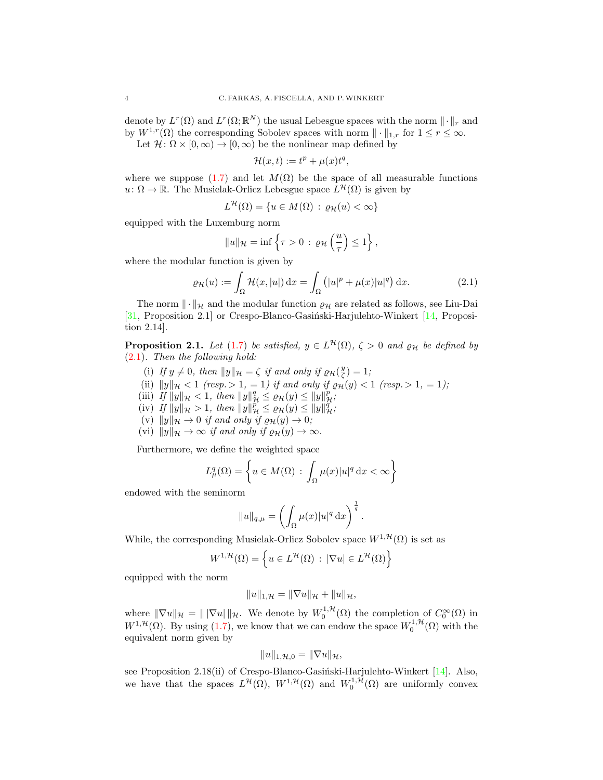denote by  $L^r(\Omega)$  and  $L^r(\Omega;\mathbb{R}^N)$  the usual Lebesgue spaces with the norm  $\|\cdot\|_r$  and by  $W^{1,r}(\Omega)$  the corresponding Sobolev spaces with norm  $\|\cdot\|_{1,r}$  for  $1 \leq r \leq \infty$ .

Let  $\mathcal{H}: \Omega \times [0, \infty) \to [0, \infty)$  be the nonlinear map defined by

<span id="page-3-0"></span>
$$
\mathcal{H}(x,t) := t^p + \mu(x)t^q,
$$

where we suppose [\(1.7\)](#page-1-3) and let  $M(\Omega)$  be the space of all measurable functions  $u: \Omega \to \mathbb{R}$ . The Musielak-Orlicz Lebesgue space  $L^{\mathcal{H}}(\Omega)$  is given by

$$
L^{\mathcal{H}}(\Omega) = \{ u \in M(\Omega) : \varrho_{\mathcal{H}}(u) < \infty \}
$$

equipped with the Luxemburg norm

$$
||u||_{\mathcal{H}} = \inf \left\{ \tau > 0 \, : \, \varrho_{\mathcal{H}} \left( \frac{u}{\tau} \right) \leq 1 \right\},\,
$$

where the modular function is given by

$$
\varrho_{\mathcal{H}}(u) := \int_{\Omega} \mathcal{H}(x, |u|) dx = \int_{\Omega} (|u|^p + \mu(x)|u|^q) dx.
$$
 (2.1)

The norm  $\|\cdot\|_{\mathcal{H}}$  and the modular function  $\varrho_{\mathcal{H}}$  are related as follows, see Liu-Dai [ $31$ , Proposition 2.1] or Crespo-Blanco-Gasiński-Harjulehto-Winkert [ $14$ , Proposition 2.14].

<span id="page-3-1"></span>**Proposition 2.1.** Let [\(1.7\)](#page-1-3) be satisfied,  $y \in L^{\mathcal{H}}(\Omega)$ ,  $\zeta > 0$  and  $\rho_{\mathcal{H}}$  be defined by [\(2.1\)](#page-3-0). Then the following hold:

- (i) If  $y \neq 0$ , then  $||y||_{\mathcal{H}} = \zeta$  if and only if  $\varrho_{\mathcal{H}}(\frac{y}{\zeta}) = 1$ ;
- (ii)  $||y||_{\mathcal{H}} < 1$  (resp.  $> 1, = 1$ ) if and only if  $\varrho_{\mathcal{H}}(y) < 1$  (resp.  $> 1, = 1$ );
- (iii) If  $||y||_{\mathcal{H}} < 1$ , then  $||y||_{\mathcal{H}}^q \leq \varrho_{\mathcal{H}}(y) \leq ||y||_{\mathcal{H}}^p$ ;
- (iv) If  $||y||_{\mathcal{H}} > 1$ , then  $||y||_{\mathcal{H}}^p \le \rho_{\mathcal{H}}(y) \le ||y||_{\mathcal{H}}^q$ ;
- (v)  $||y||_{\mathcal{H}} \to 0$  if and only if  $\varrho_{\mathcal{H}}(y) \to 0$ ;
- (vi)  $||y||_{\mathcal{H}} \to \infty$  if and only if  $\varrho_{\mathcal{H}}(y) \to \infty$ .

Furthermore, we define the weighted space

$$
L^q_\mu(\Omega) = \left\{ u \in M(\Omega) \, : \, \int_{\Omega} \mu(x) |u|^q \, \mathrm{d}x < \infty \right\}
$$

endowed with the seminorm

$$
||u||_{q,\mu} = \left(\int_{\Omega} \mu(x)|u|^q dx\right)^{\frac{1}{q}}.
$$

While, the corresponding Musielak-Orlicz Sobolev space  $W^{1, \mathcal{H}}(\Omega)$  is set as

$$
W^{1,\mathcal{H}}(\Omega) = \left\{ u \in L^{\mathcal{H}}(\Omega) : |\nabla u| \in L^{\mathcal{H}}(\Omega) \right\}
$$

equipped with the norm

$$
||u||_{1,\mathcal{H}} = ||\nabla u||_{\mathcal{H}} + ||u||_{\mathcal{H}},
$$

where  $\|\nabla u\|_{\mathcal{H}} = \|\nabla u\|_{\mathcal{H}}$ . We denote by  $W_0^{1,\mathcal{H}}(\Omega)$  the completion of  $C_0^{\infty}(\Omega)$  in  $W^{1,\mathcal{H}}(\Omega)$ . By using [\(1.7\)](#page-1-3), we know that we can endow the space  $W_0^{1,\mathcal{H}}(\Omega)$  with the equivalent norm given by

$$
||u||_{1,\mathcal{H},0}=||\nabla u||_{\mathcal{H}},
$$

see Proposition 2.18(ii) of Crespo-Blanco-Gasiński-Harjulehto-Winkert  $[14]$ . Also, we have that the spaces  $L^{\mathcal{H}}(\Omega)$ ,  $W^{1,\mathcal{H}}(\Omega)$  and  $W_0^{1,\mathcal{H}}(\Omega)$  are uniformly convex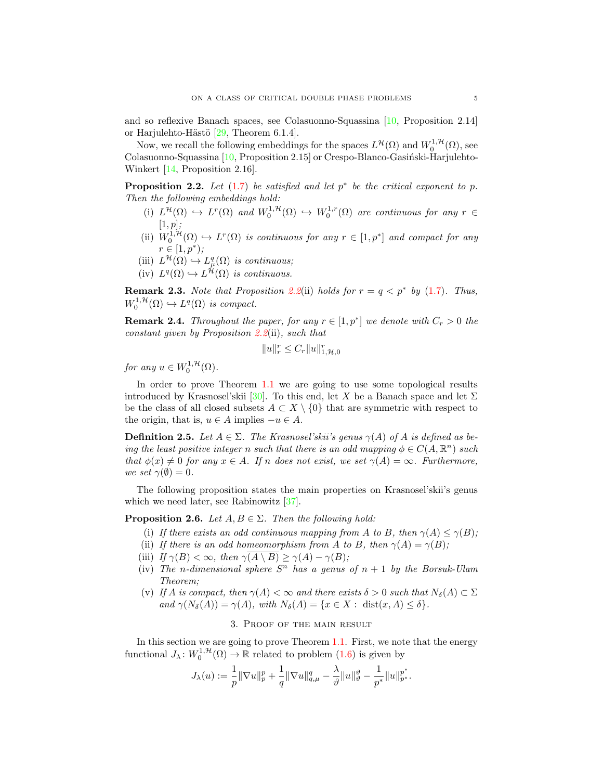and so reflexive Banach spaces, see Colasuonno-Squassina [\[10,](#page-14-16) Proposition 2.14] or Harjulehto-Hästö  $[29,$  Theorem 6.1.4].

Now, we recall the following embeddings for the spaces  $L^{\mathcal{H}}(\Omega)$  and  $W_0^{1,\mathcal{H}}(\Omega)$ , see Colasuonno-Squassina [\[10,](#page-14-16) Proposition 2.15] or Crespo-Blanco-Gasiński-Harjulehto-Winkert [\[14,](#page-14-24) Proposition 2.16].

<span id="page-4-0"></span>**Proposition 2.2.** Let  $(1.7)$  be satisfied and let  $p^*$  be the critical exponent to p. Then the following embeddings hold:

- (i)  $L^{\mathcal{H}}(\Omega) \hookrightarrow L^r(\Omega)$  and  $W_0^{1,\mathcal{H}}(\Omega) \hookrightarrow W_0^{1,r}(\Omega)$  are continuous for any  $r \in$  $[1, p];$
- (ii)  $W_0^{1,\mathcal{H}}(\Omega) \hookrightarrow L^r(\Omega)$  is continuous for any  $r \in [1,p^*]$  and compact for any  $r \in [1, p^*);$
- (iii)  $L^{\mathcal{H}}(\Omega) \hookrightarrow L^q_{\mu}(\Omega)$  is continuous;
- (iv)  $L^q(\Omega) \hookrightarrow L^{\mathcal{H}}(\Omega)$  is continuous.

**Remark 2.3.** Note that Proposition [2.2](#page-4-0)(ii) holds for  $r = q \lt p^*$  by [\(1.7\)](#page-1-3). Thus,  $W_0^{1,\mathcal{H}}(\Omega) \hookrightarrow L^q(\Omega)$  is compact.

<span id="page-4-1"></span>**Remark 2.4.** Throughout the paper, for any  $r \in [1, p^*]$  we denote with  $C_r > 0$  the constant given by Proposition [2.2](#page-4-0)(ii), such that

$$
||u||_r^r\leq C_r||u||_{1,\mathcal{H},0}^r
$$

for any  $u \in W_0^{1, \mathcal{H}}(\Omega)$ .

In order to prove Theorem [1.1](#page-1-5) we are going to use some topological results introduced by Krasnosel'skii [\[30\]](#page-14-11). To this end, let X be a Banach space and let  $\Sigma$ be the class of all closed subsets  $A \subset X \setminus \{0\}$  that are symmetric with respect to the origin, that is,  $u \in A$  implies  $-u \in A$ .

**Definition 2.5.** Let  $A \in \Sigma$ . The Krasnosel'skii's genus  $\gamma(A)$  of A is defined as being the least positive integer n such that there is an odd mapping  $\phi \in C(A, \mathbb{R}^n)$  such that  $\phi(x) \neq 0$  for any  $x \in A$ . If n does not exist, we set  $\gamma(A) = \infty$ . Furthermore, we set  $\gamma(\emptyset) = 0$ .

The following proposition states the main properties on Krasnosel'skii's genus which we need later, see Rabinowitz [\[37\]](#page-15-10).

<span id="page-4-2"></span>**Proposition 2.6.** Let  $A, B \in \Sigma$ . Then the following hold:

- (i) If there exists an odd continuous mapping from A to B, then  $\gamma(A) \leq \gamma(B)$ ;
- (ii) If there is an odd homeomorphism from A to B, then  $\gamma(A) = \gamma(B)$ ;
- (iii) If  $\gamma(B) < \infty$ , then  $\gamma(A \setminus B) \geq \gamma(A) \gamma(B)$ ;
- (iv) The n-dimensional sphere  $S<sup>n</sup>$  has a genus of  $n + 1$  by the Borsuk-Ulam Theorem;
- (v) If A is compact, then  $\gamma(A) < \infty$  and there exists  $\delta > 0$  such that  $N_{\delta}(A) \subset \Sigma$ and  $\gamma(N_{\delta}(A)) = \gamma(A)$ , with  $N_{\delta}(A) = \{x \in X : \text{dist}(x, A) \leq \delta\}.$

## 3. Proof of the main result

In this section we are going to prove Theorem [1.1.](#page-1-5) First, we note that the energy functional  $J_{\lambda}: W_0^{1,\mathcal{H}}(\Omega) \to \mathbb{R}$  related to problem  $(1.6)$  is given by

$$
J_{\lambda}(u):=\frac{1}{p}\|\nabla u\|_{p}^{p}+\frac{1}{q}\|\nabla u\|_{q,\mu}^{q}-\frac{\lambda}{\vartheta}\|u\|_{\vartheta}^{\vartheta}-\frac{1}{p^{*}}\|u\|_{p^{*}}^{p^{*}}.
$$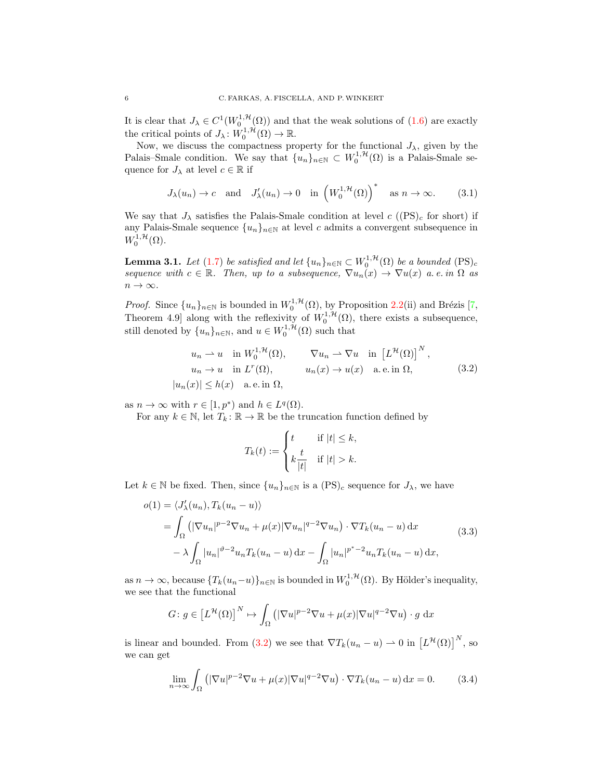It is clear that  $J_{\lambda} \in C^1(W_0^{1,\mathcal{H}}(\Omega))$  and that the weak solutions of  $(1.6)$  are exactly the critical points of  $J_{\lambda} : W_0^{1,\mathcal{H}}(\Omega) \to \mathbb{R}$ .

Now, we discuss the compactness property for the functional  $J_{\lambda}$ , given by the Palais–Smale condition. We say that  $\{u_n\}_{n\in\mathbb{N}} \subset W_0^{1,\mathcal{H}}(\Omega)$  is a Palais-Smale sequence for  $J_{\lambda}$  at level  $c \in \mathbb{R}$  if

<span id="page-5-3"></span>
$$
J_{\lambda}(u_n) \to c
$$
 and  $J'_{\lambda}(u_n) \to 0$  in  $(W_0^{1,\mathcal{H}}(\Omega))^{*}$  as  $n \to \infty$ . (3.1)

We say that  $J_{\lambda}$  satisfies the Palais-Smale condition at level c  $((PS)<sub>c</sub>$  for short) if any Palais-Smale sequence  ${u_n}_{n\in\mathbb{N}}$  at level c admits a convergent subsequence in  $W_0^{1,\mathcal{H}}(\Omega)$ .

<span id="page-5-4"></span>**Lemma 3.1.** Let [\(1.7\)](#page-1-3) be satisfied and let  $\{u_n\}_{n\in\mathbb{N}} \subset W_0^{1,\mathcal{H}}(\Omega)$  be a bounded  $(PS)_c$ sequence with  $c \in \mathbb{R}$ . Then, up to a subsequence,  $\nabla u_n(x) \to \nabla u(x)$  a.e. in  $\Omega$  as  $n \to \infty$ .

*Proof.* Since  $\{u_n\}_{n\in\mathbb{N}}$  is bounded in  $W_0^{1,\mathcal{H}}(\Omega)$ , by Proposition [2.2\(](#page-4-0)ii) and Brézis [\[7,](#page-14-26) Theorem 4.9] along with the reflexivity of  $W_0^{1, H}(\Omega)$ , there exists a subsequence, still denoted by  $\{u_n\}_{n\in\mathbb{N}}$ , and  $u \in W_0^{1,\mathcal{H}}(\Omega)$  such that

<span id="page-5-0"></span>
$$
u_n \rightharpoonup u \quad \text{in } W_0^{1, \mathcal{H}}(\Omega), \qquad \nabla u_n \rightharpoonup \nabla u \quad \text{in } \left[L^{\mathcal{H}}(\Omega)\right]^N,
$$
  
\n
$$
u_n \rightharpoonup u \quad \text{in } L^r(\Omega), \qquad u_n(x) \rightharpoonup u(x) \quad \text{a.e. in } \Omega,
$$
  
\n
$$
|u_n(x)| \le h(x) \quad \text{a.e. in } \Omega,
$$
\n(3.2)

as  $n \to \infty$  with  $r \in [1, p^*)$  and  $h \in L^q(\Omega)$ .

For any  $k \in \mathbb{N}$ , let  $T_k : \mathbb{R} \to \mathbb{R}$  be the truncation function defined by

$$
T_k(t) := \begin{cases} t & \text{if } |t| \leq k, \\ k \frac{t}{|t|} & \text{if } |t| > k. \end{cases}
$$

Let  $k \in \mathbb{N}$  be fixed. Then, since  $\{u_n\}_{n\in\mathbb{N}}$  is a  $(PS)_c$  sequence for  $J_\lambda$ , we have

<span id="page-5-1"></span>
$$
o(1) = \langle J'_{\lambda}(u_n), T_k(u_n - u) \rangle
$$
  
= 
$$
\int_{\Omega} \left( |\nabla u_n|^{p-2} \nabla u_n + \mu(x) |\nabla u_n|^{q-2} \nabla u_n \right) \cdot \nabla T_k(u_n - u) dx
$$
  

$$
- \lambda \int_{\Omega} |u_n|^{p-2} u_n T_k(u_n - u) dx - \int_{\Omega} |u_n|^{p^*-2} u_n T_k(u_n - u) dx,
$$
 (3.3)

as  $n \to \infty$ , because  $\{T_k(u_n-u)\}_{n\in\mathbb{N}}$  is bounded in  $W_0^{1,\mathcal{H}}(\Omega)$ . By Hölder's inequality, we see that the functional

$$
G: g \in [L^{\mathcal{H}}(\Omega)]^N \mapsto \int_{\Omega} \left( |\nabla u|^{p-2} \nabla u + \mu(x) |\nabla u|^{q-2} \nabla u \right) \cdot g \, dx
$$

is linear and bounded. From [\(3.2\)](#page-5-0) we see that  $\nabla T_k(u_n - u) \rightharpoonup 0$  in  $\left[L^{\mathcal{H}}(\Omega)\right]^N$ , so we can get

<span id="page-5-2"></span>
$$
\lim_{n \to \infty} \int_{\Omega} \left( |\nabla u|^{p-2} \nabla u + \mu(x) |\nabla u|^{q-2} \nabla u \right) \cdot \nabla T_k(u_n - u) \, \mathrm{d}x = 0. \tag{3.4}
$$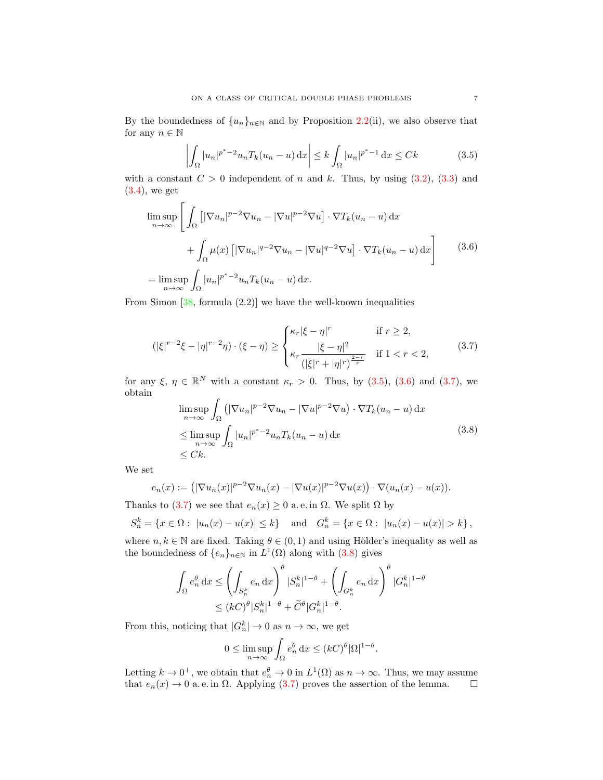By the boundedness of  $\{u_n\}_{n\in\mathbb{N}}$  and by Proposition [2.2\(](#page-4-0)ii), we also observe that for any  $n \in \mathbb{N}$ 

<span id="page-6-0"></span>
$$
\left| \int_{\Omega} |u_n|^{p^* - 2} u_n T_k(u_n - u) \, \mathrm{d}x \right| \le k \int_{\Omega} |u_n|^{p^* - 1} \, \mathrm{d}x \le Ck \tag{3.5}
$$

with a constant  $C > 0$  independent of n and k. Thus, by using  $(3.2)$ ,  $(3.3)$  and  $(3.4)$ , we get

<span id="page-6-1"></span>
$$
\limsup_{n \to \infty} \left[ \int_{\Omega} \left[ |\nabla u_n|^{p-2} \nabla u_n - |\nabla u|^{p-2} \nabla u \right] \cdot \nabla T_k(u_n - u) \, dx \right. \right. \left. + \int_{\Omega} \mu(x) \left[ |\nabla u_n|^{q-2} \nabla u_n - |\nabla u|^{q-2} \nabla u \right] \cdot \nabla T_k(u_n - u) \, dx \right] \tag{3.6}
$$
\n
$$
= \limsup_{n \to \infty} \int_{\Omega} |u_n|^{p^* - 2} u_n T_k(u_n - u) \, dx.
$$

From Simon  $[38, \text{ formula } (2.2)]$  $[38, \text{ formula } (2.2)]$  we have the well-known inequalities

<span id="page-6-2"></span>
$$
(|\xi|^{r-2}\xi - |\eta|^{r-2}\eta) \cdot (\xi - \eta) \ge \begin{cases} \kappa_r |\xi - \eta|^r & \text{if } r \ge 2, \\ \kappa_r \frac{|\xi - \eta|^2}{(|\xi|^r + |\eta|^r)^{\frac{2-r}{r}}} & \text{if } 1 < r < 2, \end{cases}
$$
(3.7)

for any  $\xi, \eta \in \mathbb{R}^N$  with a constant  $\kappa_r > 0$ . Thus, by [\(3.5\)](#page-6-0), [\(3.6\)](#page-6-1) and [\(3.7\)](#page-6-2), we obtain

<span id="page-6-3"></span>
$$
\limsup_{n \to \infty} \int_{\Omega} \left( |\nabla u_n|^{p-2} \nabla u_n - |\nabla u|^{p-2} \nabla u \right) \cdot \nabla T_k(u_n - u) \, dx
$$
\n
$$
\leq \limsup_{n \to \infty} \int_{\Omega} |u_n|^{p^* - 2} u_n T_k(u_n - u) \, dx
$$
\n
$$
\leq Ck.
$$
\n(3.8)

We set

$$
e_n(x) := \left( |\nabla u_n(x)|^{p-2} \nabla u_n(x) - |\nabla u(x)|^{p-2} \nabla u(x) \right) \cdot \nabla (u_n(x) - u(x)).
$$

Thanks to [\(3.7\)](#page-6-2) we see that  $e_n(x) \geq 0$  a. e. in  $\Omega$ . We split  $\Omega$  by

$$
S_n^k = \{x \in \Omega : |u_n(x) - u(x)| \le k\}
$$
 and  $G_n^k = \{x \in \Omega : |u_n(x) - u(x)| > k\},\$ 

where  $n, k \in \mathbb{N}$  are fixed. Taking  $\theta \in (0, 1)$  and using Hölder's inequality as well as the boundedness of  $\{e_n\}_{n\in\mathbb{N}}$  in  $L^1(\Omega)$  along with  $(3.8)$  gives

$$
\int_{\Omega} e_n^{\theta} dx \le \left( \int_{S_n^k} e_n dx \right)^{\theta} |S_n^k|^{1-\theta} + \left( \int_{G_n^k} e_n dx \right)^{\theta} |G_n^k|^{1-\theta}
$$
  

$$
\le (kC)^{\theta} |S_n^k|^{1-\theta} + \widetilde{C}^{\theta} |G_n^k|^{1-\theta}.
$$

From this, noticing that  $|G_n^k| \to 0$  as  $n \to \infty$ , we get

$$
0 \le \limsup_{n \to \infty} \int_{\Omega} e_n^{\theta} dx \le (kC)^{\theta} |\Omega|^{1-\theta}.
$$

Letting  $k \to 0^+$ , we obtain that  $e_n^{\theta} \to 0$  in  $L^1(\Omega)$  as  $n \to \infty$ . Thus, we may assume that  $e_n(x) \to 0$  a. e. in  $\Omega$ . Applying [\(3.7\)](#page-6-2) proves the assertion of the lemma.  $\square$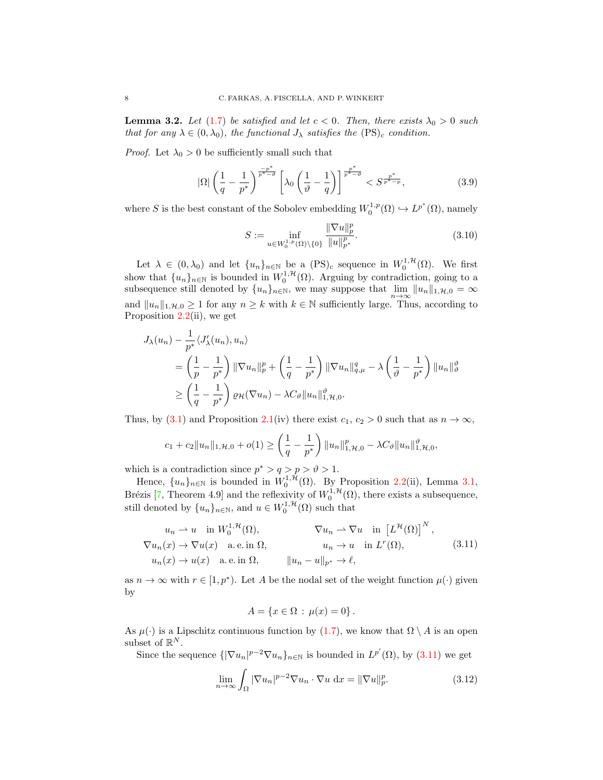<span id="page-7-4"></span>**Lemma 3.2.** Let [\(1.7\)](#page-1-3) be satisfied and let  $c < 0$ . Then, there exists  $\lambda_0 > 0$  such that for any  $\lambda \in (0, \lambda_0)$ , the functional  $J_\lambda$  satisfies the  $(PS)_c$  condition.

*Proof.* Let  $\lambda_0 > 0$  be sufficiently small such that

<span id="page-7-3"></span>
$$
|\Omega| \left(\frac{1}{q} - \frac{1}{p^*}\right)^{\frac{-p^*}{p^* - \vartheta}} \left[\lambda_0 \left(\frac{1}{\vartheta} - \frac{1}{q}\right)\right]^{\frac{p^*}{p^* - \vartheta}} < S^{\frac{p^*}{p^* - p}},\tag{3.9}
$$

where S is the best constant of the Sobolev embedding  $W_0^{1,p}(\Omega) \hookrightarrow L^{p^*}(\Omega)$ , namely

<span id="page-7-2"></span>
$$
S := \inf_{u \in W_0^{1,p}(\Omega) \setminus \{0\}} \frac{\|\nabla u\|_p^p}{\|u\|_{p^*}^p}.
$$
\n(3.10)

Let  $\lambda \in (0, \lambda_0)$  and let  $\{u_n\}_{n \in \mathbb{N}}$  be a  $(PS)_c$  sequence in  $W_0^{1, \mathcal{H}}(\Omega)$ . We first show that  $\{u_n\}_{n\in\mathbb{N}}$  is bounded in  $W_0^{1,\mathcal{H}}(\Omega)$ . Arguing by contradiction, going to a subsequence still denoted by  $\{u_n\}_{n\in\mathbb{N}}$ , we may suppose that  $\lim_{n\to\infty} ||u_n||_{1,\mathcal{H},0} = \infty$ and  $||u_n||_{1,\mathcal{H},0} \ge 1$  for any  $n \ge k$  with  $k \in \mathbb{N}$  sufficiently large. Thus, according to Proposition  $2.2$ (ii), we get

$$
J_{\lambda}(u_{n}) - \frac{1}{p^{*}} \langle J'_{\lambda}(u_{n}), u_{n} \rangle
$$
  
=  $\left(\frac{1}{p} - \frac{1}{p^{*}}\right) \|\nabla u_{n}\|_{p}^{p} + \left(\frac{1}{q} - \frac{1}{p^{*}}\right) \|\nabla u_{n}\|_{q,\mu}^{q} - \lambda \left(\frac{1}{\vartheta} - \frac{1}{p^{*}}\right) \|u_{n}\|_{\vartheta}^{\vartheta}$   

$$
\geq \left(\frac{1}{q} - \frac{1}{p^{*}}\right) \varrho_{\mathcal{H}}(\nabla u_{n}) - \lambda C_{\vartheta} \|u_{n}\|_{1, \mathcal{H}, 0}^{\vartheta}.
$$

Thus, by [\(3.1\)](#page-5-3) and Proposition [2.1\(](#page-3-1)iv) there exist  $c_1, c_2 > 0$  such that as  $n \to \infty$ ,

$$
c_1 + c_2 \|u_n\|_{1,\mathcal{H},0} + o(1) \ge \left(\frac{1}{q} - \frac{1}{p^*}\right) \|u_n\|_{1,\mathcal{H},0}^p - \lambda C_{\vartheta} \|u_n\|_{1,\mathcal{H},0}^{\vartheta},
$$

which is a contradiction since  $p^* > q > p > \vartheta > 1$ .

Hence,  $\{u_n\}_{n\in\mathbb{N}}$  is bounded in  $W_0^{1,\mathcal{H}}(\Omega)$ . By Proposition [2.2\(](#page-4-0)ii), Lemma [3.1,](#page-5-4) Brézis [\[7,](#page-14-26) Theorem 4.9] and the reflexivity of  $W_0^{1,1}(\Omega)$ , there exists a subsequence, still denoted by  $\{u_n\}_{n\in\mathbb{N}}$ , and  $u \in W_0^{1,\mathcal{H}}(\Omega)$  such that

<span id="page-7-0"></span>
$$
u_n \rightharpoonup u \quad \text{in } W_0^{1,\mathcal{H}}(\Omega), \qquad \qquad \nabla u_n \rightharpoonup \nabla u \quad \text{in } \left[L^{\mathcal{H}}(\Omega)\right]^N,
$$
  

$$
\nabla u_n(x) \to \nabla u(x) \quad \text{a.e. in } \Omega, \qquad u_n \to u \quad \text{in } L^r(\Omega), \qquad (3.11)
$$
  

$$
u_n(x) \to u(x) \quad \text{a.e. in } \Omega, \qquad \|u_n - u\|_{p^*} \to \ell,
$$

as  $n \to \infty$  with  $r \in [1, p^* )$ . Let A be the nodal set of the weight function  $\mu(\cdot)$  given by

$$
A = \{x \in \Omega : \mu(x) = 0\}.
$$

As  $\mu(\cdot)$  is a Lipschitz continuous function by [\(1.7\)](#page-1-3), we know that  $\Omega \setminus A$  is an open subset of  $\mathbb{R}^N$ .

Since the sequence  $\{|\nabla u_n|^{p-2} \nabla u_n\}_{n\in\mathbb{N}}$  is bounded in  $L^{p'}(\Omega)$ , by  $(3.11)$  we get

<span id="page-7-1"></span>
$$
\lim_{n \to \infty} \int_{\Omega} |\nabla u_n|^{p-2} \nabla u_n \cdot \nabla u \, dx = ||\nabla u||_p^p. \tag{3.12}
$$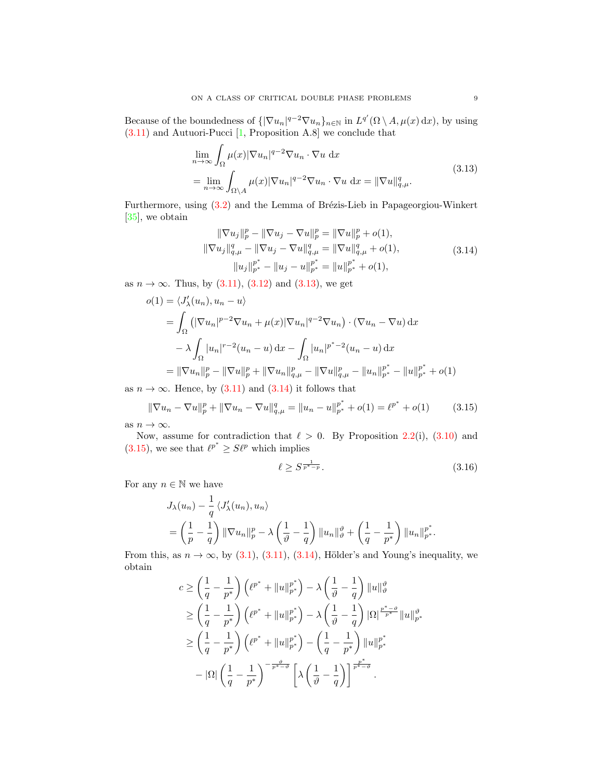Because of the boundedness of  $\{\nabla u_n\}^{q-2} \nabla u_n\}_{n \in \mathbb{N}}$  in  $L^{q'}(\Omega \setminus A, \mu(x) \,dx)$ , by using [\(3.11\)](#page-7-0) and Autuori-Pucci [\[1,](#page-13-4) Proposition A.8] we conclude that

$$
\lim_{n \to \infty} \int_{\Omega} \mu(x) |\nabla u_n|^{q-2} \nabla u_n \cdot \nabla u \, dx
$$
\n
$$
= \lim_{n \to \infty} \int_{\Omega \setminus A} \mu(x) |\nabla u_n|^{q-2} \nabla u_n \cdot \nabla u \, dx = ||\nabla u||_{q,\mu}^q. \tag{3.13}
$$

Furthermore, using  $(3.2)$  and the Lemma of Brézis-Lieb in Papageorgiou-Winkert [\[35\]](#page-15-12), we obtain

<span id="page-8-1"></span><span id="page-8-0"></span>
$$
\|\nabla u_j\|_p^p - \|\nabla u_j - \nabla u\|_p^p = \|\nabla u\|_p^p + o(1),
$$
  

$$
\|\nabla u_j\|_{q,\mu}^q - \|\nabla u_j - \nabla u\|_{q,\mu}^q = \|\nabla u\|_{q,\mu}^q + o(1),
$$
  

$$
\|u_j\|_{p^*}^{p^*} - \|u_j - u\|_{p^*}^{p^*} = \|u\|_{p^*}^{p^*} + o(1),
$$
  
(3.14)

as  $n \to \infty$ . Thus, by [\(3.11\)](#page-7-0), [\(3.12\)](#page-7-1) and [\(3.13\)](#page-8-0), we get

$$
o(1) = \langle J'_{\lambda}(u_n), u_n - u \rangle
$$
  
=  $\int_{\Omega} (|\nabla u_n|^{p-2} \nabla u_n + \mu(x)|\nabla u_n|^{q-2} \nabla u_n) \cdot (\nabla u_n - \nabla u) dx$   
 $- \lambda \int_{\Omega} |u_n|^{r-2} (u_n - u) dx - \int_{\Omega} |u_n|^{p^* - 2} (u_n - u) dx$   
=  $\|\nabla u_n\|_p^p - \|\nabla u\|_p^p + \|\nabla u_n\|_{q,\mu}^p - \|\nabla u\|_{q,\mu}^p - \|u_n\|_{p^*}^{p^*} - \|u\|_{p^*}^{p^*} + o(1)$ 

as  $n \to \infty$ . Hence, by [\(3.11\)](#page-7-0) and [\(3.14\)](#page-8-1) it follows that

<span id="page-8-2"></span>
$$
\|\nabla u_n - \nabla u\|_p^p + \|\nabla u_n - \nabla u\|_{q,\mu}^q = \|u_n - u\|_{p^*}^{p^*} + o(1) = \ell^{p^*} + o(1) \tag{3.15}
$$

as  $n \to \infty$ .

Now, assume for contradiction that  $\ell > 0$ . By Proposition [2.2\(](#page-4-0)i), [\(3.10\)](#page-7-2) and  $(3.15)$ , we see that  $\ell^{p^*} \geq S\ell^p$  which implies

<span id="page-8-3"></span>
$$
\ell \ge S^{\frac{1}{p^*-p}}.\tag{3.16}
$$

For any  $n \in \mathbb{N}$  we have

$$
J_{\lambda}(u_n) - \frac{1}{q} \langle J'_{\lambda}(u_n), u_n \rangle
$$
  
=  $\left(\frac{1}{p} - \frac{1}{q}\right) \|\nabla u_n\|_p^p - \lambda \left(\frac{1}{\vartheta} - \frac{1}{q}\right) \|u_n\|_{\vartheta}^{\vartheta} + \left(\frac{1}{q} - \frac{1}{p^*}\right) \|u_n\|_{p^*}^{p^*}.$ 

From this, as  $n \to \infty$ , by [\(3.1\)](#page-5-3), [\(3.11\)](#page-7-0), [\(3.14\)](#page-8-1), Hölder's and Young's inequality, we obtain

$$
c \ge \left(\frac{1}{q} - \frac{1}{p^*}\right) \left(\ell^{p^*} + \|u\|_{p^*}^{p^*}\right) - \lambda \left(\frac{1}{\vartheta} - \frac{1}{q}\right) \|u\|_{\vartheta}^{\vartheta}
$$
  
\n
$$
\ge \left(\frac{1}{q} - \frac{1}{p^*}\right) \left(\ell^{p^*} + \|u\|_{p^*}^{p^*}\right) - \lambda \left(\frac{1}{\vartheta} - \frac{1}{q}\right) |\Omega|^{\frac{p^*-\vartheta}{p^*}} \|u\|_{p^*}^{\vartheta}
$$
  
\n
$$
\ge \left(\frac{1}{q} - \frac{1}{p^*}\right) \left(\ell^{p^*} + \|u\|_{p^*}^{p^*}\right) - \left(\frac{1}{q} - \frac{1}{p^*}\right) \|u\|_{p^*}^{p^*}
$$
  
\n
$$
- |\Omega| \left(\frac{1}{q} - \frac{1}{p^*}\right)^{-\frac{\vartheta}{p^*-\vartheta}} \left[\lambda \left(\frac{1}{\vartheta} - \frac{1}{q}\right)\right]^{\frac{p^*}{p^*-\vartheta}}.
$$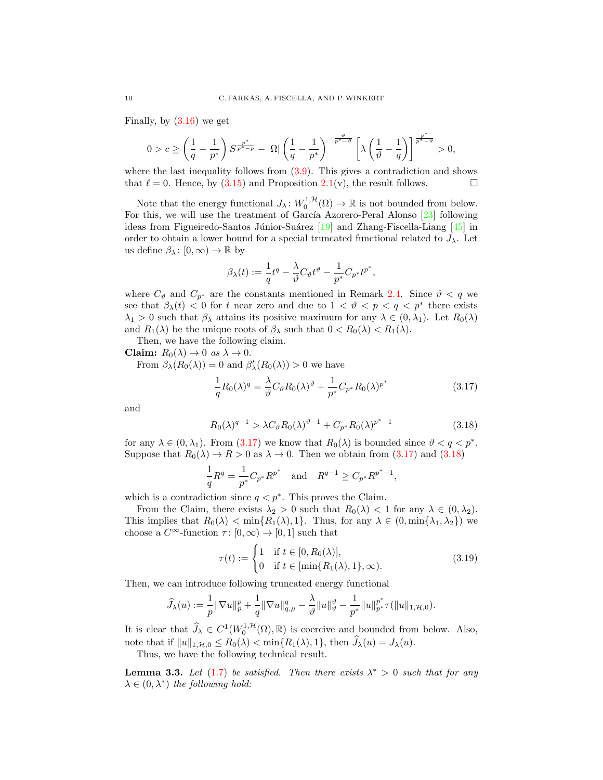Finally, by [\(3.16\)](#page-8-3) we get

$$
0>c\geq \left(\frac{1}{q}-\frac{1}{p^*}\right)S^{\frac{p^*}{p^*-p}}-|\Omega|\left(\frac{1}{q}-\frac{1}{p^*}\right)^{-\frac{\vartheta}{p^*- \vartheta}}\left[\lambda\left(\frac{1}{\vartheta}-\frac{1}{q}\right)\right]^{\frac{p^*}{p^*- \vartheta}}>0,
$$

where the last inequality follows from  $(3.9)$ . This gives a contradiction and shows that  $\ell = 0$ . Hence, by [\(3.15\)](#page-8-2) and Proposition [2.1\(](#page-3-1)v), the result follows.

Note that the energy functional  $J_{\lambda}: W_0^{1,\mathcal{H}}(\Omega) \to \mathbb{R}$  is not bounded from below. For this, we will use the treatment of García Azorero-Peral Alonso  $[23]$  following ideas from Figueiredo-Santos Júnior-Suárez [\[19\]](#page-14-4) and Zhang-Fiscella-Liang [\[45\]](#page-15-1) in order to obtain a lower bound for a special truncated functional related to  $J_{\lambda}$ . Let us define  $\beta_{\lambda} : [0, \infty) \to \mathbb{R}$  by

$$
\beta_\lambda(t):=\frac{1}{q}t^q-\frac{\lambda}{\vartheta}C_\vartheta t^\vartheta-\frac{1}{p^*}C_{p^*}t^{p^*},
$$

where  $C_{\vartheta}$  and  $C_{p^*}$  are the constants mentioned in Remark [2.4.](#page-4-1) Since  $\vartheta < q$  we see that  $\beta_{\lambda}(t) < 0$  for t near zero and due to  $1 < \theta < p < q < p^*$  there exists  $\lambda_1 > 0$  such that  $\beta_\lambda$  attains its positive maximum for any  $\lambda \in (0, \lambda_1)$ . Let  $R_0(\lambda)$ and  $R_1(\lambda)$  be the unique roots of  $\beta_{\lambda}$  such that  $0 < R_0(\lambda) < R_1(\lambda)$ .

Then, we have the following claim.

Claim:  $R_0(\lambda) \to 0$  as  $\lambda \to 0$ .

From  $\beta_{\lambda}(R_0(\lambda)) = 0$  and  $\beta'_{\lambda}(R_0(\lambda)) > 0$  we have

<span id="page-9-1"></span><span id="page-9-0"></span>
$$
\frac{1}{q}R_0(\lambda)^q = \frac{\lambda}{\vartheta}C_\vartheta R_0(\lambda)^\vartheta + \frac{1}{p^*}C_{p^*}R_0(\lambda)^{p^*}
$$
\n(3.17)

and

$$
R_0(\lambda)^{q-1} > \lambda C_\vartheta R_0(\lambda)^{\vartheta - 1} + C_{p^*} R_0(\lambda)^{p^* - 1} \tag{3.18}
$$

for any  $\lambda \in (0, \lambda_1)$ . From  $(3.17)$  we know that  $R_0(\lambda)$  is bounded since  $\vartheta < q < p^*$ . Suppose that  $R_0(\lambda) \to R > 0$  as  $\lambda \to 0$ . Then we obtain from [\(3.17\)](#page-9-0) and [\(3.18\)](#page-9-1)

$$
\frac{1}{q}R^q = \frac{1}{p^*}C_{p^*}R^{p^*} \text{ and } R^{q-1} \ge C_{p^*}R^{p^*-1},
$$

which is a contradiction since  $q < p^*$ . This proves the Claim.

From the Claim, there exists  $\lambda_2 > 0$  such that  $R_0(\lambda) < 1$  for any  $\lambda \in (0, \lambda_2)$ . This implies that  $R_0(\lambda) < \min\{R_1(\lambda), 1\}$ . Thus, for any  $\lambda \in (0, \min\{\lambda_1, \lambda_2\})$  we choose a  $C^{\infty}$ -function  $\tau: [0, \infty) \to [0, 1]$  such that

<span id="page-9-2"></span>
$$
\tau(t) := \begin{cases} 1 & \text{if } t \in [0, R_0(\lambda)], \\ 0 & \text{if } t \in [\min\{R_1(\lambda), 1\}, \infty). \end{cases} \tag{3.19}
$$

Then, we can introduce following truncated energy functional

$$
\widehat{J}_{\lambda}(u):=\frac{1}{p}\|\nabla u\|_{p}^{p}+\frac{1}{q}\|\nabla u\|_{q,\mu}^{q}-\frac{\lambda}{\vartheta}\|u\|_{\vartheta}^{\vartheta}-\frac{1}{p^{*}}\|u\|_{p^{*}}^{p^{*}}\tau(\|u\|_{1,\mathcal{H},0}).
$$

It is clear that  $\widehat{J}_\lambda \in C^1(W_0^{1,\mathcal{H}}(\Omega), \mathbb{R})$  is coercive and bounded from below. Also, note that if  $||u||_{1,\mathcal{H},0} \leq R_0(\lambda) < \min\{R_1(\lambda), 1\}$ , then  $\widehat{J}_\lambda(u) = J_\lambda(u)$ .

Thus, we have the following technical result.

<span id="page-9-3"></span>**Lemma 3.3.** Let [\(1.7\)](#page-1-3) be satisfied. Then there exists  $\lambda^* > 0$  such that for any  $\lambda \in (0, \lambda^*)$  the following hold: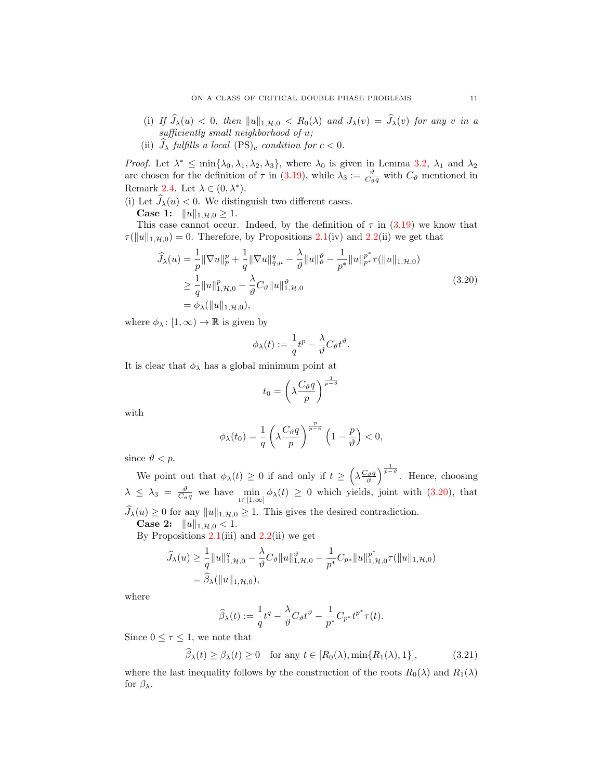- (i) If  $\widehat{J}_{\lambda}(u) < 0$ , then  $||u||_{1,\mathcal{H},0} < R_0(\lambda)$  and  $J_{\lambda}(v) = \widehat{J}_{\lambda}(v)$  for any v in a sufficiently small neighborhood of u;
- (ii)  $\widehat{J}_{\lambda}$  fulfills a local  $(PS)_{c}$  condition for  $c < 0$ .

Proof. Let  $\lambda^* \leq \min\{\lambda_0, \lambda_1, \lambda_2, \lambda_3\}$ , where  $\lambda_0$  is given in Lemma [3.2,](#page-7-4)  $\lambda_1$  and  $\lambda_2$ are chosen for the definition of  $\tau$  in [\(3.19\)](#page-9-2), while  $\lambda_3 := \frac{\vartheta}{C_{\vartheta}q}$  with  $C_{\vartheta}$  mentioned in Remark [2.4.](#page-4-1) Let  $\lambda \in (0, \lambda^*)$ .

(i) Let  $\widehat{J}_{\lambda}(u) < 0$ . We distinguish two different cases.

**Case 1:**  $||u||_{1,\mathcal{H},0} \ge 1$ .

This case cannot occur. Indeed, by the definition of  $\tau$  in [\(3.19\)](#page-9-2) we know that  $\tau(||u||_{1,\mathcal{H},0}) = 0$ . Therefore, by Propositions [2.1\(](#page-3-1)iv) and [2.2\(](#page-4-0)ii) we get that

$$
\hat{J}_{\lambda}(u) = \frac{1}{p} \|\nabla u\|_{p}^{p} + \frac{1}{q} \|\nabla u\|_{q,\mu}^{q} - \frac{\lambda}{\vartheta} \|u\|_{\vartheta}^{\vartheta} - \frac{1}{p^{*}} \|u\|_{p^{*}}^{p^{*}} \tau(\|u\|_{1,\mathcal{H},0})
$$
\n
$$
\geq \frac{1}{q} \|u\|_{1,\mathcal{H},0}^{p} - \frac{\lambda}{\vartheta} C_{\vartheta} \|u\|_{1,\mathcal{H},0}^{\vartheta}
$$
\n
$$
= \phi_{\lambda}(\|u\|_{1,\mathcal{H},0}), \qquad (3.20)
$$

where  $\phi_{\lambda} : [1, \infty) \to \mathbb{R}$  is given by

<span id="page-10-0"></span>
$$
\phi_{\lambda}(t) := \frac{1}{q}t^{p} - \frac{\lambda}{\vartheta}C_{\vartheta}t^{\vartheta}.
$$

It is clear that  $\phi_{\lambda}$  has a global minimum point at

$$
t_0 = \left(\lambda \frac{C_{\vartheta}q}{p}\right)^{\frac{1}{p-\vartheta}}
$$

with

$$
\phi_{\lambda}(t_0) = \frac{1}{q} \left( \lambda \frac{C_{\vartheta} q}{p} \right)^{\frac{p}{p-\vartheta}} \left( 1 - \frac{p}{\vartheta} \right) < 0,
$$

since  $\vartheta < p$ .

We point out that  $\phi_{\lambda}(t) \geq 0$  if and only if  $t \geq \left(\lambda \frac{C_{\vartheta}q}{\vartheta}\right)^{\frac{1}{p-\vartheta}}$ . Hence, choosing  $\lambda \leq \lambda_3 = \frac{\vartheta}{C_{\vartheta}q}$  we have  $\min_{t \in [1,\infty]} \phi_{\lambda}(t) \geq 0$  which yields, joint with  $(3.20)$ , that  $\widehat{J}_{\lambda}(u) \geq 0$  for any  $||u||_{1,\mathcal{H},0} \geq 1$ . This gives the desired contradiction.

**Case 2:**  $||u||_{1,\mathcal{H},0} < 1.$ 

By Propositions  $2.1(iii)$  $2.1(iii)$  and  $2.2(ii)$  $2.2(ii)$  we get

$$
\hat{J}_{\lambda}(u) \ge \frac{1}{q} ||u||_{1, \mathcal{H}, 0}^{q} - \frac{\lambda}{\vartheta} C_{\vartheta} ||u||_{1, \mathcal{H}, 0}^{\vartheta} - \frac{1}{p^{*}} C_{p^{*}} ||u||_{1, \mathcal{H}, 0}^{p^{*}} \tau(||u||_{1, \mathcal{H}, 0})
$$
  
=  $\hat{\beta}_{\lambda}(||u||_{1, \mathcal{H}, 0}),$ 

where

<span id="page-10-1"></span>
$$
\widehat{\beta}_{\lambda}(t) := \frac{1}{q}t^q - \frac{\lambda}{\vartheta}C_{\vartheta}t^{\vartheta} - \frac{1}{p^*}C_{p^*}t^{p^*}\tau(t).
$$

Since  $0 \leq \tau \leq 1$ , we note that

$$
\widehat{\beta}_{\lambda}(t) \ge \beta_{\lambda}(t) \ge 0 \quad \text{for any } t \in [R_0(\lambda), \min\{R_1(\lambda), 1\}], \tag{3.21}
$$

where the last inequality follows by the construction of the roots  $R_0(\lambda)$  and  $R_1(\lambda)$ for  $\beta_{\lambda}$ .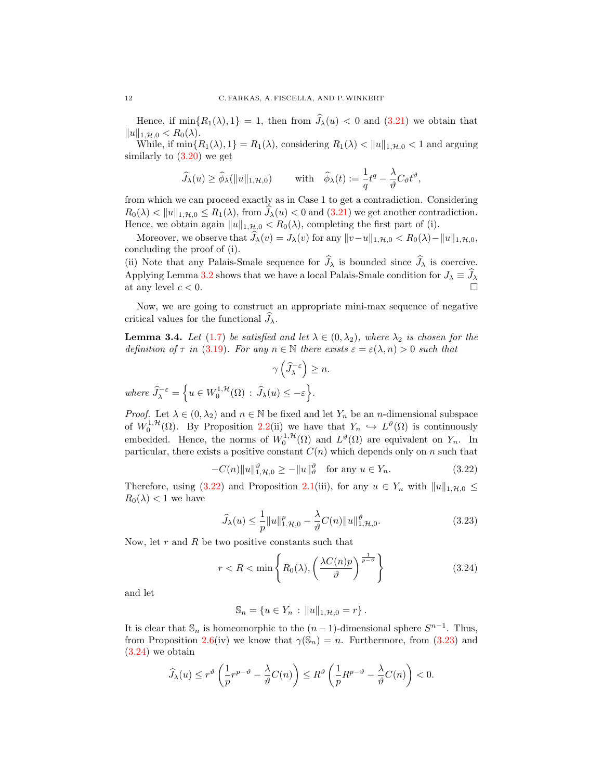Hence, if  $\min\{R_1(\lambda), 1\} = 1$ , then from  $\widehat{J}_\lambda(u) < 0$  and  $(3.21)$  we obtain that  $||u||_{1,\mathcal{H},0} < R_0(\lambda).$ 

While, if  $\min\{R_1(\lambda), 1\} = R_1(\lambda)$ , considering  $R_1(\lambda) < ||u||_{1,\mathcal{H},0} < 1$  and arguing similarly to  $(3.20)$  we get

$$
\widehat{J}_{\lambda}(u) \ge \widehat{\phi}_{\lambda}(\|u\|_{1,\mathcal{H},0}) \quad \text{with} \quad \widehat{\phi}_{\lambda}(t) := \frac{1}{q}t^{q} - \frac{\lambda}{\vartheta}C_{\vartheta}t^{\vartheta},
$$

from which we can proceed exactly as in Case 1 to get a contradiction. Considering  $R_0(\lambda) < ||u||_{1,\mathcal{H},0} \leq R_1(\lambda)$ , from  $\hat{J}_{\lambda}(u) < 0$  and  $(3.21)$  we get another contradiction. Hence, we obtain again  $||u||_{1,\mathcal{H},0} < R_0(\lambda)$ , completing the first part of (i).

Moreover, we observe that  $\widehat{J}_\lambda(v) = J_\lambda(v)$  for any  $||v-u||_{1,\mathcal{H},0} < R_0(\lambda) - ||u||_{1,\mathcal{H},0}$ , concluding the proof of (i).

(ii) Note that any Palais-Smale sequence for  $\widehat{J}_{\lambda}$  is bounded since  $\widehat{J}_{\lambda}$  is coercive. Applying Lemma [3.2](#page-7-4) shows that we have a local Palais-Smale condition for  $J_{\lambda} \equiv \hat{J}_{\lambda}$  at any level  $c < 0$ at any level  $c < 0$ .

Now, we are going to construct an appropriate mini-max sequence of negative critical values for the functional  $\hat{J}_\lambda$ .

<span id="page-11-3"></span>**Lemma 3.4.** Let [\(1.7\)](#page-1-3) be satisfied and let  $\lambda \in (0, \lambda_2)$ , where  $\lambda_2$  is chosen for the definition of  $\tau$  in [\(3.19\)](#page-9-2). For any  $n \in \mathbb{N}$  there exists  $\varepsilon = \varepsilon(\lambda, n) > 0$  such that

<span id="page-11-0"></span>
$$
\gamma\left(\widehat{J}_{\lambda}^{-\varepsilon}\right) \geq n.
$$

where  $\widehat{J}_{\lambda}^{-\varepsilon} = \left\{ u \in W_0^{1, \mathcal{H}}(\Omega) : \widehat{J}_{\lambda}(u) \leq -\varepsilon \right\}.$ 

*Proof.* Let  $\lambda \in (0, \lambda_2)$  and  $n \in \mathbb{N}$  be fixed and let  $Y_n$  be an *n*-dimensional subspace of  $W_0^{1, H}(\Omega)$ . By Proposition [2.2\(](#page-4-0)ii) we have that  $Y_n \hookrightarrow L^{\vartheta}(\Omega)$  is continuously embedded. Hence, the norms of  $W_0^{1,\mathcal{H}}(\Omega)$  and  $L^{\vartheta}(\Omega)$  are equivalent on  $Y_n$ . In particular, there exists a positive constant  $C(n)$  which depends only on n such that

$$
-C(n)\|u\|_{1,\mathcal{H},0}^{\vartheta} \ge -\|u\|_{\vartheta}^{\vartheta} \quad \text{for any } u \in Y_n. \tag{3.22}
$$

Therefore, using [\(3.22\)](#page-11-0) and Proposition [2.1\(](#page-3-1)iii), for any  $u \in Y_n$  with  $||u||_{1,\mathcal{H},0} \leq$  $R_0(\lambda) < 1$  we have

<span id="page-11-1"></span>
$$
\widehat{J}_{\lambda}(u) \le \frac{1}{p} ||u||_{1, \mathcal{H}, 0}^p - \frac{\lambda}{\vartheta} C(n) ||u||_{1, \mathcal{H}, 0}^{\vartheta}.
$$
\n(3.23)

Now, let  $r$  and  $R$  be two positive constants such that

$$
r < R < \min\left\{ R_0(\lambda), \left( \frac{\lambda C(n)p}{\vartheta} \right)^{\frac{1}{p-\vartheta}} \right\} \tag{3.24}
$$

and let

<span id="page-11-2"></span>
$$
\mathbb{S}_n = \{ u \in Y_n : ||u||_{1, \mathcal{H}, 0} = r \}.
$$

It is clear that  $\mathbb{S}_n$  is homeomorphic to the  $(n-1)$ -dimensional sphere  $S^{n-1}$ . Thus, from Proposition [2.6\(](#page-4-2)iv) we know that  $\gamma(\mathbb{S}_n) = n$ . Furthermore, from [\(3.23\)](#page-11-1) and [\(3.24\)](#page-11-2) we obtain

$$
\widehat{J}_{\lambda}(u) \le r^{\vartheta} \left( \frac{1}{p} r^{p-\vartheta} - \frac{\lambda}{\vartheta} C(n) \right) \le R^{\vartheta} \left( \frac{1}{p} R^{p-\vartheta} - \frac{\lambda}{\vartheta} C(n) \right) < 0.
$$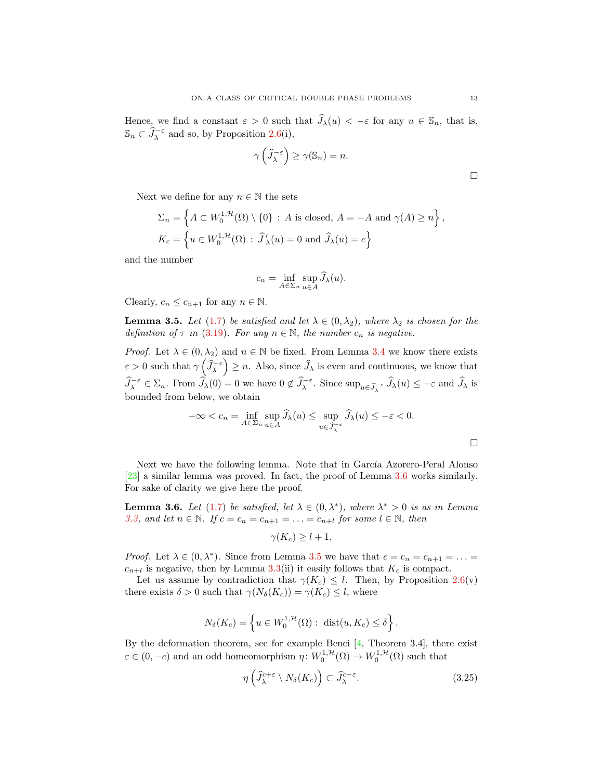Hence, we find a constant  $\varepsilon > 0$  such that  $\widehat{J}_\lambda(u) < -\varepsilon$  for any  $u \in \mathbb{S}_n$ , that is,  $\mathbb{S}_n \subset \widehat{J}_\lambda^{-\varepsilon}$  and so, by Proposition [2.6\(](#page-4-2)i),

$$
\gamma\left(\widehat{J}_{\lambda}^{-\varepsilon}\right) \ge \gamma(\mathbb{S}_n) = n.
$$

Next we define for any  $n \in \mathbb{N}$  the sets

$$
\Sigma_n = \left\{ A \subset W_0^{1,\mathcal{H}}(\Omega) \setminus \{0\} : A \text{ is closed, } A = -A \text{ and } \gamma(A) \ge n \right\},\
$$
  

$$
K_c = \left\{ u \in W_0^{1,\mathcal{H}}(\Omega) : \widehat{J}'_{\lambda}(u) = 0 \text{ and } \widehat{J}_{\lambda}(u) = c \right\}
$$

and the number

$$
c_n = \inf_{A \in \Sigma_n} \sup_{u \in A} \widehat{J}_{\lambda}(u).
$$

Clearly,  $c_n \leq c_{n+1}$  for any  $n \in \mathbb{N}$ .

<span id="page-12-1"></span>**Lemma 3.5.** Let [\(1.7\)](#page-1-3) be satisfied and let  $\lambda \in (0, \lambda_2)$ , where  $\lambda_2$  is chosen for the definition of  $\tau$  in [\(3.19\)](#page-9-2). For any  $n \in \mathbb{N}$ , the number  $c_n$  is negative.

*Proof.* Let  $\lambda \in (0, \lambda_2)$  and  $n \in \mathbb{N}$  be fixed. From Lemma [3.4](#page-11-3) we know there exists  $\varepsilon > 0$  such that  $\gamma\left(\widehat{J}_{\lambda}^{-\varepsilon}\right) \geq n$ . Also, since  $\widehat{J}_{\lambda}$  is even and continuous, we know that  $\widehat{J}_{\lambda}^{-\varepsilon} \in \Sigma_n$ . From  $\widehat{J}_{\lambda}(0) = 0$  we have  $0 \notin \widehat{J}_{\lambda}^{-\varepsilon}$ . Since  $\sup_{u \in \widehat{J}_{\lambda}^{-\varepsilon}} \widehat{J}_{\lambda}(u) \leq -\varepsilon$  and  $\widehat{J}_{\lambda}$  is bounded from below, we obtain

$$
-\infty < c_n = \inf_{A \in \Sigma_n} \sup_{u \in A} \widehat{J}_\lambda(u) \le \sup_{u \in \widehat{J}_\lambda^{-\varepsilon}} \widehat{J}_\lambda(u) \le -\varepsilon < 0.
$$

Next we have the following lemma. Note that in García Azorero-Peral Alonso [\[23\]](#page-14-0) a similar lemma was proved. In fact, the proof of Lemma [3.6](#page-12-0) works similarly. For sake of clarity we give here the proof.

<span id="page-12-0"></span>**Lemma 3.6.** Let [\(1.7\)](#page-1-3) be satisfied, let  $\lambda \in (0, \lambda^*)$ , where  $\lambda^* > 0$  is as in Lemma [3.3,](#page-9-3) and let  $n \in \mathbb{N}$ . If  $c = c_n = c_{n+1} = \ldots = c_{n+l}$  for some  $l \in \mathbb{N}$ , then

$$
\gamma(K_c) \ge l+1.
$$

*Proof.* Let  $\lambda \in (0, \lambda^*)$ . Since from Lemma [3.5](#page-12-1) we have that  $c = c_n = c_{n+1} = ...$  $c_{n+l}$  is negative, then by Lemma [3.3\(](#page-9-3)ii) it easily follows that  $K_c$  is compact.

Let us assume by contradiction that  $\gamma(K_c) \leq l$ . Then, by Proposition [2.6\(](#page-4-2)v) there exists  $\delta > 0$  such that  $\gamma(N_{\delta}(K_c)) = \gamma(K_c) \leq l$ , where

$$
N_{\delta}(K_c) = \left\{ u \in W_0^{1,\mathcal{H}}(\Omega) : \text{ dist}(u, K_c) \le \delta \right\}.
$$

By the deformation theorem, see for example Benci [\[4,](#page-13-5) Theorem 3.4], there exist  $\varepsilon \in (0, -c)$  and an odd homeomorphism  $\eta: W_0^{1, \mathcal{H}}(\Omega) \to W_0^{1, \mathcal{H}}(\Omega)$  such that

<span id="page-12-2"></span>
$$
\eta\left(\widehat{J}_{\lambda}^{c+\varepsilon} \setminus N_{\delta}(K_c)\right) \subset \widehat{J}_{\lambda}^{c-\varepsilon}.
$$
\n(3.25)

 $\Box$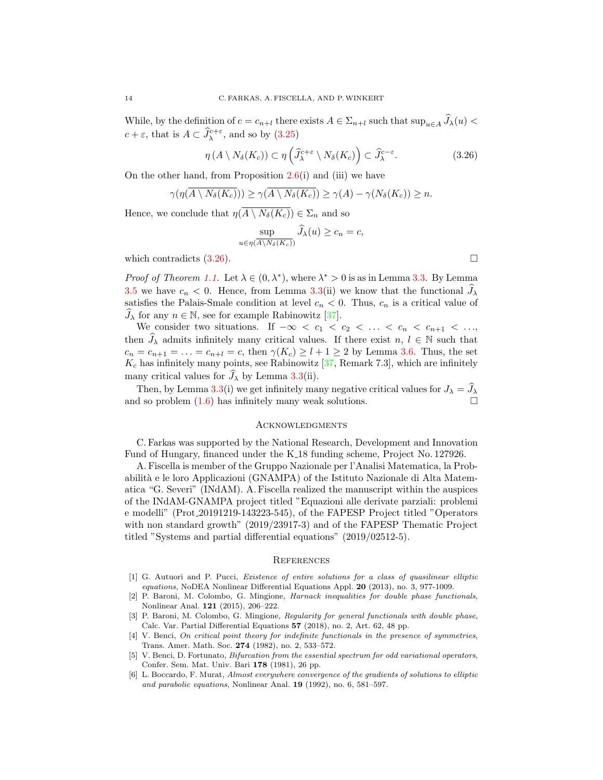While, by the definition of  $c = c_{n+l}$  there exists  $A \in \Sigma_{n+l}$  such that  $\sup_{u \in A} \widehat{J}_\lambda(u)$  $c + \varepsilon$ , that is  $A \subset \widehat{J}_{\lambda}^{c+\varepsilon}$ , and so by  $(3.25)$ 

$$
\eta(A \setminus N_{\delta}(K_c)) \subset \eta\left(\widehat{J}_{\lambda}^{c+\varepsilon} \setminus N_{\delta}(K_c)\right) \subset \widehat{J}_{\lambda}^{c-\varepsilon}.
$$
\n(3.26)

On the other hand, from Proposition [2.6\(](#page-4-2)i) and (iii) we have

$$
\gamma(\eta(A \setminus N_{\delta}(K_c))) \ge \gamma(A \setminus N_{\delta}(K_c)) \ge \gamma(A) - \gamma(N_{\delta}(K_c)) \ge n.
$$

Hence, we conclude that  $\eta(\overline{A \setminus N_{\delta}(K_c)}) \in \Sigma_n$  and so

$$
\sup_{u \in \eta(\overline{A \setminus N_{\delta}(K_c)})} \hat{J}_{\lambda}(u) \ge c_n = c,
$$
  
which contradicts (3.26).

*Proof of Theorem [1.1.](#page-1-5)* Let  $\lambda \in (0, \lambda^*)$ , where  $\lambda^* > 0$  is as in Lemma [3.3.](#page-9-3) By Lemma [3.5](#page-12-1) we have  $c_n < 0$ . Hence, from Lemma [3.3\(](#page-9-3)ii) we know that the functional  $J_\lambda$ satisfies the Palais-Smale condition at level  $c_n < 0$ . Thus,  $c_n$  is a critical value of  $\widehat{J}_{\lambda}$  for any  $n \in \mathbb{N}$ , see for example Rabinowitz [\[37\]](#page-15-10).

We consider two situations. If  $-\infty < c_1 < c_2 < \ldots < c_n < c_{n+1} < \ldots$ then  $\widehat{J}_\lambda$  admits infinitely many critical values. If there exist  $n, l \in \mathbb{N}$  such that  $c_n = c_{n+1} = \ldots = c_{n+l} = c$ , then  $\gamma(K_c) \geq l+1 \geq 2$  by Lemma [3.6.](#page-12-0) Thus, the set  $K_c$  has infinitely many points, see Rabinowitz [\[37,](#page-15-10) Remark 7.3], which are infinitely many critical values for  $J_{\lambda}$  by Lemma [3.3\(](#page-9-3)ii).

Then, by Lemma [3.3\(](#page-9-3)i) we get infinitely many negative critical values for  $J_{\lambda} = \hat{J}_{\lambda}$ and so problem [\(1.6\)](#page-1-4) has infinitely many weak solutions.

### **ACKNOWLEDGMENTS**

C. Farkas was supported by the National Research, Development and Innovation Fund of Hungary, financed under the K 18 funding scheme, Project No. 127926.

A. Fiscella is member of the Gruppo Nazionale per l'Analisi Matematica, la Probabilit`a e le loro Applicazioni (GNAMPA) of the Istituto Nazionale di Alta Matematica "G. Severi" (INdAM). A. Fiscella realized the manuscript within the auspices of the INdAM-GNAMPA project titled "Equazioni alle derivate parziali: problemi e modelli" (Prot 20191219-143223-545), of the FAPESP Project titled "Operators with non standard growth" (2019/23917-3) and of the FAPESP Thematic Project titled "Systems and partial differential equations" (2019/02512-5).

#### **REFERENCES**

- <span id="page-13-4"></span>[1] G. Autuori and P. Pucci, Existence of entire solutions for a class of quasilinear elliptic equations, NoDEA Nonlinear Differential Equations Appl. 20 (2013), no. 3, 977-1009.
- <span id="page-13-1"></span>[2] P. Baroni, M. Colombo, G. Mingione, Harnack inequalities for double phase functionals, Nonlinear Anal. 121 (2015), 206–222.
- <span id="page-13-2"></span>[3] P. Baroni, M. Colombo, G. Mingione, Regularity for general functionals with double phase, Calc. Var. Partial Differential Equations 57 (2018), no. 2, Art. 62, 48 pp.
- <span id="page-13-5"></span>[4] V. Benci, On critical point theory for indefinite functionals in the presence of symmetries, Trans. Amer. Math. Soc. 274 (1982), no. 2, 533–572.
- <span id="page-13-0"></span>[5] V. Benci, D. Fortunato, Bifurcation from the essential spectrum for odd variational operators, Confer. Sem. Mat. Univ. Bari 178 (1981), 26 pp.
- <span id="page-13-3"></span>[6] L. Boccardo, F. Murat, Almost everywhere convergence of the gradients of solutions to elliptic and parabolic equations, Nonlinear Anal. 19 (1992), no. 6, 581–597.

<span id="page-13-6"></span>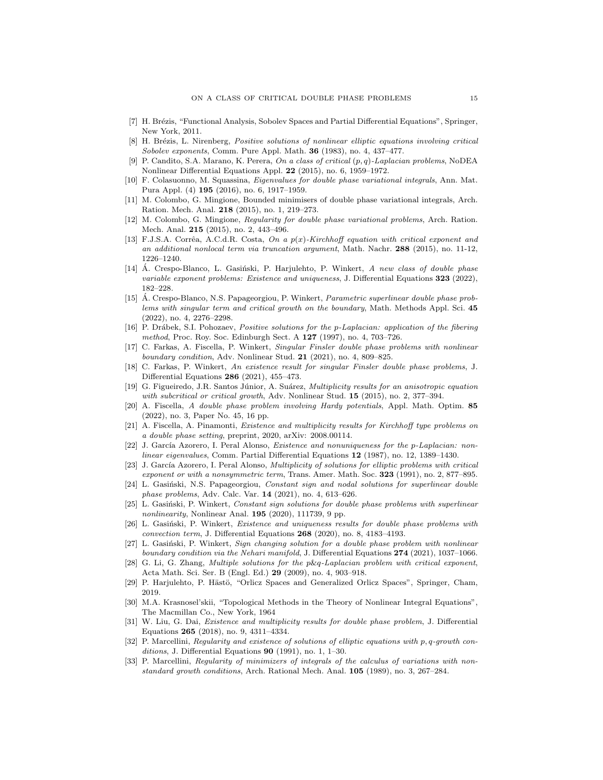- <span id="page-14-26"></span>[7] H. Brézis, "Functional Analysis, Sobolev Spaces and Partial Differential Equations", Springer, New York, 2011.
- <span id="page-14-6"></span>[8] H. Brézis, L. Nirenberg, Positive solutions of nonlinear elliptic equations involving critical Sobolev exponents, Comm. Pure Appl. Math. 36 (1983), no. 4, 437-477.
- <span id="page-14-2"></span>[9] P. Candito, S.A. Marano, K. Perera, On a class of critical (p, q)-Laplacian problems, NoDEA Nonlinear Differential Equations Appl. 22 (2015), no. 6, 1959–1972.
- <span id="page-14-16"></span>[10] F. Colasuonno, M. Squassina, Eigenvalues for double phase variational integrals, Ann. Mat. Pura Appl. (4) 195 (2016), no. 6, 1917–1959.
- <span id="page-14-7"></span>[11] M. Colombo, G. Mingione, Bounded minimisers of double phase variational integrals, Arch. Ration. Mech. Anal. 218 (2015), no. 1, 219–273.
- <span id="page-14-8"></span>[12] M. Colombo, G. Mingione, Regularity for double phase variational problems, Arch. Ration. Mech. Anal. 215 (2015), no. 2, 443–496.
- <span id="page-14-3"></span>[13] F.J.S.A. Corrêa, A.C.d.R. Costa, On a  $p(x)$ -Kirchhoff equation with critical exponent and an additional nonlocal term via truncation argument, Math. Nachr. 288 (2015), no. 11-12, 1226–1240.
- <span id="page-14-24"></span> $[14]$  A. Crespo-Blanco, L. Gasiński, P. Harjulehto, P. Winkert, A new class of double phase variable exponent problems: Existence and uniqueness, J. Differential Equations 323 (2022), 182–228.
- <span id="page-14-14"></span>[15] Á. Crespo-Blanco, N.S. Papageorgiou, P. Winkert, *Parametric superlinear double phase prob*lems with singular term and critical growth on the boundary, Math. Methods Appl. Sci. 45 (2022), no. 4, 2276–2298.
- <span id="page-14-15"></span>[16] P. Drábek, S.I. Pohozaev, *Positive solutions for the p-Laplacian: application of the fibering* method, Proc. Roy. Soc. Edinburgh Sect. A 127 (1997), no. 4, 703-726.
- <span id="page-14-13"></span>[17] C. Farkas, A. Fiscella, P. Winkert, Singular Finsler double phase problems with nonlinear boundary condition, Adv. Nonlinear Stud. 21 (2021), no. 4, 809–825.
- <span id="page-14-12"></span>[18] C. Farkas, P. Winkert, An existence result for singular Finsler double phase problems, J. Differential Equations 286 (2021), 455–473.
- <span id="page-14-4"></span>[19] G. Figueiredo, J.R. Santos Júnior, A. Suárez, *Multiplicity results for an anisotropic equation* with subcritical or critical growth, Adv. Nonlinear Stud. **15** (2015), no. 2, 377–394.
- <span id="page-14-17"></span>[20] A. Fiscella, A double phase problem involving Hardy potentials, Appl. Math. Optim. 85 (2022), no. 3, Paper No. 45, 16 pp.
- <span id="page-14-18"></span>[21] A. Fiscella, A. Pinamonti, Existence and multiplicity results for Kirchhoff type problems on a double phase setting, preprint, 2020, arXiv: 2008.00114.
- <span id="page-14-1"></span>[22] J. García Azorero, I. Peral Alonso, Existence and nonuniqueness for the p-Laplacian: nonlinear eigenvalues, Comm. Partial Differential Equations 12 (1987), no. 12, 1389–1430.
- <span id="page-14-0"></span>[23] J. García Azorero, I. Peral Alonso, *Multiplicity of solutions for elliptic problems with critical* exponent or with a nonsymmetric term, Trans. Amer. Math. Soc. 323 (1991), no. 2, 877–895.
- <span id="page-14-19"></span>[24] L. Gasiński, N.S. Papageorgiou, Constant sign and nodal solutions for superlinear double phase problems, Adv. Calc. Var. 14 (2021), no. 4, 613–626.
- <span id="page-14-20"></span>L. Gasiński, P. Winkert, Constant sign solutions for double phase problems with superlinear nonlinearity, Nonlinear Anal.  $195$  (2020), 111739, 9 pp.
- <span id="page-14-21"></span>[26] L. Gasiński, P. Winkert, Existence and uniqueness results for double phase problems with convection term, J. Differential Equations 268 (2020), no. 8, 4183–4193.
- <span id="page-14-22"></span>[27] L. Gasiński, P. Winkert, Sign changing solution for a double phase problem with nonlinear boundary condition via the Nehari manifold, J. Differential Equations 274 (2021), 1037-1066.
- <span id="page-14-5"></span>[28] G. Li, G. Zhang, Multiple solutions for the p&q-Laplacian problem with critical exponent, Acta Math. Sci. Ser. B (Engl. Ed.) 29 (2009), no. 4, 903–918.
- <span id="page-14-25"></span>[29] P. Harjulehto, P. Hästö, "Orlicz Spaces and Generalized Orlicz Spaces", Springer, Cham, 2019.
- <span id="page-14-11"></span>[30] M.A. Krasnosel'skii, "Topological Methods in the Theory of Nonlinear Integral Equations", The Macmillan Co., New York, 1964
- <span id="page-14-23"></span>[31] W. Liu, G. Dai, *Existence and multiplicity results for double phase problem*, J. Differential Equations 265 (2018), no. 9, 4311–4334.
- <span id="page-14-9"></span>[32] P. Marcellini, Regularity and existence of solutions of elliptic equations with p, q-growth conditions, J. Differential Equations  $90$  (1991), no. 1, 1–30.
- <span id="page-14-10"></span>[33] P. Marcellini, Regularity of minimizers of integrals of the calculus of variations with nonstandard growth conditions, Arch. Rational Mech. Anal. 105 (1989), no. 3, 267–284.